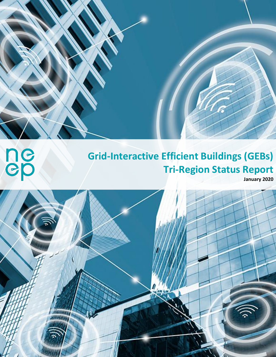## **Grid-Interactive Efficient Buildings (GEBs) Tri-Region Status Report**

**January 2020** 



**September 2000**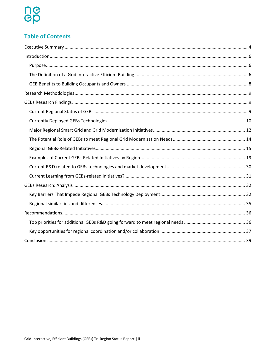# ne<br>ep

### **Table of Contents**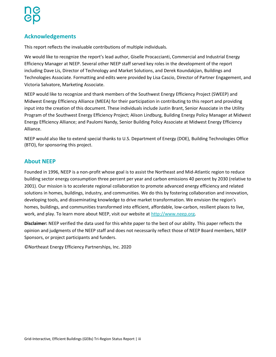### **Acknowledgements**

This report reflects the invaluable contributions of multiple individuals.

We would like to recognize the report's lead author, Giselle Procaccianti, Commercial and Industrial Energy Efficiency Manager at NEEP. Several other NEEP staff served key roles in the development of the report including Dave Lis, Director of Technology and Market Solutions, and Derek Koundakjian, Buildings and Technologies Associate. Formatting and edits were provided by Lisa Cascio, Director of Partner Engagement, and Victoria Salvatore, Marketing Associate.

NEEP would like to recognize and thank members of the Southwest Energy Efficiency Project (SWEEP) and Midwest Energy Efficiency Alliance (MEEA) for their participation in contributing to this report and providing input into the creation of this document. These individuals include Justin Brant, Senior Associate in the Utility Program of the Southwest Energy Efficiency Project; Alison Lindburg, Building Energy Policy Manager at Midwest Energy Efficiency Alliance; and Paulomi Nandy, Senior Building Policy Associate at Midwest Energy Efficiency Alliance.

NEEP would also like to extend special thanks to U.S. Department of Energy (DOE)[, Building Technologies](https://www.energy.gov/eere/buildings/building-technologies-office) Office (BTO), for sponsoring this project.

### **About NEEP**

Founded in 1996, NEEP is a non-profit whose goal is to assist the Northeast and Mid-Atlantic region to reduce building sector energy consumption three percent per year and carbon emissions 40 percent by 2030 (relative to 2001). Our mission is to accelerate regional collaboration to promote advanced energy efficiency and related solutions in homes, buildings, industry, and communities. We do this by fostering collaboration and innovation, developing tools, and disseminating knowledge to drive market transformation. We envision the region's homes, buildings, and communities transformed into efficient, affordable, low-carbon, resilient places to live, work, and play. To learn more about NEEP, visit our website at [http://www.neep.org.](http://www.neep.org/)

**Disclaimer:** NEEP verified the data used for this white paper to the best of our ability. This paper reflects the opinion and judgments of the NEEP staff and does not necessarily reflect those of NEEP Board members, NEEP Sponsors, or project participants and funders.

©Northeast Energy Efficiency Partnerships, Inc. 2020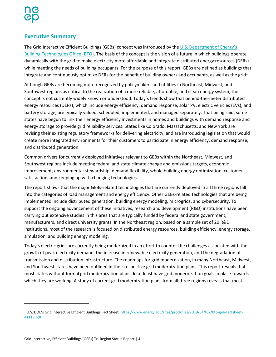### <span id="page-3-0"></span>**Executive Summary**

The Grid Interactive Efficient Buildings (GEBs) concept was introduced by the U.S. Department of Energy's [Building Technologies Office \(BTO\).](https://www.energy.gov/eere/buildings/building-technologies-office) The basis of the concept is the vision of a future in which buildings operate dynamically with the grid to make electricity more affordable and integrate distributed energy resources (DERs) while meeting the needs of building occupants. For the purpose of this report, GEBs are defined as buildings that integrate and continuously optimize DERs for the benefit of building owners and occupants, as well as the grid<sup>1</sup>.

Although GEBs are becoming more recognized by policymakers and utilities in Northeast, Midwest, and Southwest regions as critical to the realization of a more reliable, affordable, and clean energy system, the concept is not currently widely known or understood. Today's trends show that behind-the-meter distributed energy resources (DERs), which include energy efficiency, demand response, solar PV, electric vehicles (EVs), and battery storage, are typically valued, scheduled, implemented, and managed separately. That being said, some states have begun to link their energy efficiency investments in homes and buildings with demand response and energy storage to provide grid reliability services. States like Colorado, Massachusetts, and New York are revising their existing regulatory frameworks for delivering electricity, and are introducing legislation that would create more integrated environments for their customers to participate in energy efficiency, demand response, and distributed generation.

Common drivers for currently deployed initiatives relevant to GEBs within the Northeast, Midwest, and Southwest regions include meeting federal and state climate change and emissions targets, economic improvement, environmental stewardship, demand flexibility, whole building energy optimization, customer satisfaction, and keeping up with changing technologies.

The report shows that the major GEBs-related technologies that are currently deployed in all three regions fall into the categories of load management and energy efficiency. Other GEBs-related technologies that are being implemented include distributed generation, building energy modeling, microgrids, and cybersecurity. To support the ongoing advancement of these initiatives, research and development (R&D) institutions have been carrying out extensive studies in this area that are typically funded by federal and state government, manufacturers, and direct university grants. In the Northeast region, based on a sample set of 20 R&D institutions, most of the research is focused on distributed energy resources, building efficiency, energy storage, simulation, and building energy modeling.

Today's electric grids are currently being modernized in an effort to counter the challenges associated with the growth of peak electricity demand, the increase in renewable electricity generation, and the degradation of transmission and distribution infrastructure. The roadmaps for grid modernization, in many Northeast, Midwest, and Southwest states have been outlined in their respective grid modernization plans. This report reveals that most states without formal grid modernization plans do at least have grid modernization goals in place towards which they are working. A study of current grid modernization plans from all three regions reveals that most

 $\overline{a}$ 

<sup>1</sup> U.S. DOE's Grid Interactive Efficient Buildings Fact Sheet. [https://www.energy.gov/sites/prod/files/2019/04/f62/bto-geb-factsheet-](https://www.energy.gov/sites/prod/files/2019/04/f62/bto-geb-factsheet-41119.pdf)[41119.pdf](https://www.energy.gov/sites/prod/files/2019/04/f62/bto-geb-factsheet-41119.pdf)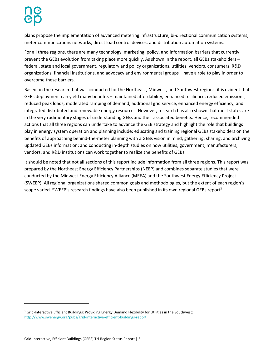plans propose the implementation of advanced metering infrastructure, bi-directional communication systems, meter communications networks, direct load control devices, and distribution automation systems.

For all three regions, there are many technology, marketing, policy, and information barriers that currently prevent the GEBs evolution from taking place more quickly. As shown in the report, all GEBs stakeholders – federal, state and local government, regulatory and policy organizations, utilities, vendors, consumers, R&D organizations, financial institutions, and advocacy and environmental groups – have a role to play in order to overcome these barriers.

Based on the research that was conducted for the Northeast, Midwest, and Southwest regions, it is evident that GEBs deployment can yield many benefits – maintained affordability, enhanced resilience, reduced emissions, reduced peak loads, moderated ramping of demand, additional grid service, enhanced energy efficiency, and integrated distributed and renewable energy resources. However, research has also shown that most states are in the very rudimentary stages of understanding GEBs and their associated benefits. Hence, recommended actions that all three regions can undertake to advance the GEB strategy and highlight the role that buildings play in energy system operation and planning include: educating and training regional GEBs stakeholders on the benefits of approaching behind-the-meter planning with a GEBs vision in mind; gathering, sharing, and archiving updated GEBs information; and conducting in-depth studies on how utilities, government, manufacturers, vendors, and R&D institutions can work together to realize the benefits of GEBs.

It should be noted that not all sections of this report include information from all three regions. This report was prepared by the Northeast Energy Efficiency Partnerships (NEEP) and combines separate studies that were conducted by the Midwest Energy Efficiency Alliance (MEEA) and the Southwest Energy Efficiency Project (SWEEP). All regional organizations shared common goals and methodologies, but the extent of each region's scope varied. SWEEP's research findings have also been published in its own regional GEBs report<sup>2</sup>.

 $\overline{a}$ 

<sup>&</sup>lt;sup>2</sup> Grid-Interactive Efficient Buildings: Providing Energy Demand Flexibility for Utilities in the Southwest: <http://www.swenergy.org/pubs/grid-interactive-efficient-buildings-report>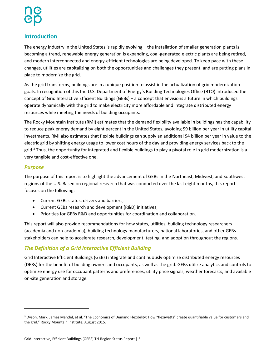### <span id="page-5-0"></span>**Introduction**

The energy industry in the United States is rapidly evolving – the installation of smaller generation plants is becoming a trend, renewable energy generation is expanding, coal-generated electric plants are being retired, and modern interconnected and energy-efficient technologies are being developed. To keep pace with these changes, utilities are capitalizing on both the opportunities and challenges they present, and are putting plans in place to modernize the grid.

As the grid transforms, buildings are in a unique position to assist in the actualization of grid modernization goals. In recognition of this the U.S. Department of Energy's Building Technologies Office (BTO) introduced the concept of Grid Interactive Efficient Buildings (GEBs) – a concept that envisions a future in which buildings operate dynamically with the grid to make electricity more affordable and integrate distributed energy resources while meeting the needs of building occupants.

The Rocky Mountain Institute (RMI) estimates that the demand flexibility available in buildings has the capability to reduce peak energy demand by eight percent in the United States, avoiding \$9 billion per year in utility capital investments. RMI also estimates that flexible buildings can supply an additional \$4 billion per year in value to the electric grid by shifting energy usage to lower cost hours of the day and providing energy services back to the grid.<sup>3</sup> Thus, the opportunity for integrated and flexible buildings to play a pivotal role in grid modernization is a very tangible and cost-effective one.

### <span id="page-5-1"></span>*Purpose*

l

The purpose of this report is to highlight the advancement of GEBs in the Northeast, Midwest, and Southwest regions of the U.S. Based on regional research that was conducted over the last eight months, this report focuses on the following:

- Current GEBs status, drivers and barriers;
- Current GEBs research and development (R&D) initiatives;
- Priorities for GEBs R&D and opportunities for coordination and collaboration.

This report will also provide recommendations for how states, utilities, building technology researchers (academia and non-academia), building technology manufacturers, national laboratories, and other GEBs stakeholders can help to accelerate research, development, testing, and adoption throughout the regions.

### <span id="page-5-2"></span>*The Definition of a Grid Interactive Efficient Building*

Grid Interactive Efficient Buildings (GEBs) integrate and continuously optimize distributed energy resources (DERs) for the benefit of building owners and occupants, as well as the grid. GEBs utilize analytics and controls to optimize energy use for occupant patterns and preferences, utility price signals, weather forecasts, and available on-site generation and storage.

<sup>3</sup> Dyson, Mark, James Mandel, et al. "The Economics of Demand Flexibility: How "flexiwatts" create quantifiable value for customers and the grid." Rocky Mountain Institute, August 2015.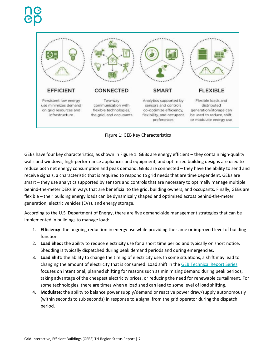



GEBs have four key characteristics, as shown in Figure 1. GEBs are energy efficient – they contain high-quality walls and windows, high-performance appliances and equipment, and optimized building designs are used to reduce both net energy consumption and peak demand. GEBs are connected – they have the ability to send and receive signals, a characteristic that is required to respond to grid needs that are time dependent. GEBs are smart – they use analytics supported by sensors and controls that are necessary to optimally manage multiple behind-the-meter DERs in ways that are beneficial to the grid, building owners, and occupants. Finally, GEBs are flexible – their building energy loads can be dynamically shaped and optimized across behind-the-meter generation, electric vehicles (EVs), and energy storage.

According to the U.S. Department of Energy, there are five demand-side management strategies that can be implemented in buildings to manage load:

- 1. **Efficiency**: the ongoing reduction in energy use while providing the same or improved level of building function.
- 2. **Load Shed:** the ability to reduce electricity use for a short time period and typically on short notice. Shedding is typically dispatched during peak demand periods and during emergencies.
- 3. **Load Shift:** the ability to change the timing of electricity use. In some situations, a shift may lead to changing the amount of electricity that is consumed. Load shift in the [GEB Technical Report Series](https://www1.eere.energy.gov/buildings/pdfs/75470.pdf) focuses on intentional, planned shifting for reasons such as minimizing demand during peak periods, taking advantage of the cheapest electricity prices, or reducing the need for renewable curtailment. For some technologies, there are times when a load shed can lead to some level of load shifting.
- 4. **Modulate:** the ability to balance power supply/demand or reactive power draw/supply autonomously (within seconds to sub seconds) in response to a signal from the grid operator during the dispatch period.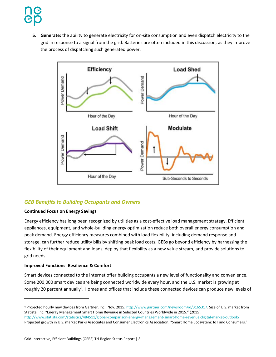**5. Generate:** the ability to generate electricity for on-site consumption and even dispatch electricity to the grid in response to a signal from the grid. Batteries are often included in this discussion, as they improve the process of dispatching such generated power.



### <span id="page-7-0"></span>*GEB Benefits to Building Occupants and Owners*

#### **Continued Focus on Energy Savings**

Energy efficiency has long been recognized by utilities as a cost-effective load management strategy. Efficient appliances, equipment, and whole-building energy optimization reduce both overall energy consumption and peak demand. Energy efficiency measures combined with load flexibility, including demand response and storage, can further reduce utility bills by shifting peak load costs. GEBs go beyond efficiency by harnessing the flexibility of their equipment and loads, deploy that flexibility as a new value stream, and provide solutions to grid needs.

#### **Improved Functions: Resilience & Comfort**

 $\overline{\phantom{a}}$ 

Smart devices connected to the internet offer building occupants a new level of functionality and convenience. Some 200,000 smart devices are being connected worldwide every hour, and the U.S. market is growing at roughly 20 percent annually<sup>4</sup>. Homes and offices that include these connected devices can produce new levels of

<sup>4</sup> Projected hourly new devices from Gartner, Inc., Nov. 2015; http://www.gartner.com/newsroom/id/3165317. Size of U.S. market from Statista, Inc. "Energy Management Smart Home Revenue in Selected Countries Worldwide in 2015." (2015); http://www.statista.com/statistics/484511/global-comparison-energy-management-smart-home-revenue-digital-market-outlook/. Projected growth in U.S. market Parks Associates and Consumer Electronics Association. "Smart Home Ecosystem: IoT and Consumers."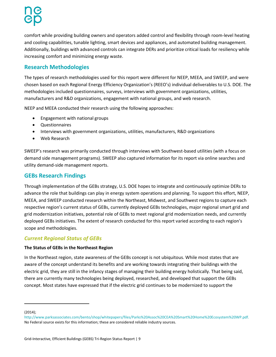comfort while providing building owners and operators added control and flexibility through room-level heating and cooling capabilities, tunable lighting, smart devices and appliances, and automated building management. Additionally, buildings with advanced controls can integrate DERs and prioritize critical loads for resiliency while increasing comfort and minimizing energy waste.

### <span id="page-8-0"></span>**Research Methodologies**

The types of research methodologies used for this report were different for NEEP, MEEA, and SWEEP, and were chosen based on each Regional Energy Efficiency Organization's (REEO's) individual deliverables to U.S. DOE. The methodologies included questionnaires, surveys, interviews with government organizations, utilities, manufacturers and R&D organizations, engagement with national groups, and web research.

NEEP and MEEA conducted their research using the following approaches:

- Engagement with national groups
- Questionnaires
- Interviews with government organizations, utilities, manufacturers, R&D organizations
- Web Research

SWEEP's research was primarily conducted through interviews with Southwest-based utilities (with a focus on demand side management programs). SWEEP also captured information for its report via online searches and utility demand-side management reports.

### <span id="page-8-1"></span>**GEBs Research Findings**

Through implementation of the GEBs strategy, U.S. DOE hopes to integrate and continuously optimize DERs to advance the role that buildings can play in energy system operations and planning. To support this effort, NEEP, MEEA, and SWEEP conducted research within the Northeast, Midwest, and Southwest regions to capture each respective region's current status of GEBs, currently deployed GEBs technologies, major regional smart grid and grid modernization initiatives, potential role of GEBs to meet regional grid modernization needs, and currently deployed GEBs initiatives. The extent of research conducted for this report varied according to each region's scope and methodologies.

### <span id="page-8-2"></span>*Current Regional Status of GEBs*

### **The Status of GEBs in the Northeast Region**

In the Northeast region, state awareness of the GEBs concept is not ubiquitous. While most states that are aware of the concept understand its benefits and are working towards integrating their buildings with the electric grid, they are still in the infancy stages of managing their building energy holistically. That being said, there are currently many technologies being deployed, researched, and developed that support the GEBs concept. Most states have expressed that if the electric grid continues to be modernized to support the

(2014);

 $\overline{a}$ 

http://www.parksassociates.com/bento/shop/whitepapers/files/Parks%20Assoc%20CEA%20Smart%20Home%20Ecosystem%20WP.pdf. No Federal source exists for this information; these are considered reliable industry sources.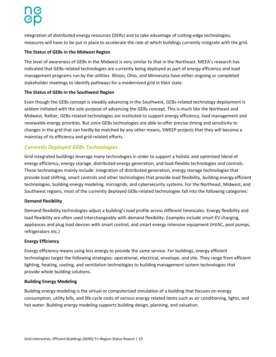integration of distributed energy resources (DERs) and to take advantage of cutting-edge technologies, measures will have to be put in place to accelerate the rate at which buildings currently integrate with the grid.

#### **The Status of GEBs in the Midwest Region**

The level of awareness of GEBs in the Midwest is very similar to that in the Northeast. MEEA's research has indicated that GEBs-related technologies are currently being deployed as part of energy efficiency and load management programs run by the utilities. Illinois, Ohio, and Minnesota have either ongoing or completed stakeholder meetings to identify pathways for a modernized grid in their state.

#### **The Status of GEBs in the Southwest Region**

Even though the GEBs concept is steadily advancing in the Southwest, GEBs-related technology deployment is seldom initiated with the sole purpose of advancing the GEBs concept. This is much like the Northeast and Midwest. Rather, GEBs-related technologies are instituted to support energy efficiency, load management and renewable energy priorities. But since GEBs technologies are able to offer precise timing and sensitivity to changes in the grid that can hardly be matched by any other means, SWEEP projects that they will become a mainstay of its efficiency and grid-related efforts.

### <span id="page-9-0"></span>*Currently Deployed GEBs Technologies*

Grid integrated buildings leverage many technologies in order to support a holistic and optimized blend of energy efficiency, energy storage, distributed energy generation, and load-flexible technologies and controls. These technologies mainly include: integration of distributed generation, energy storage technologies that provide load shifting, smart controls and other technologies that provide load flexibility, building energy efficient technologies, building energy modeling, microgrids, and cybersecurity systems. For the Northeast, Midwest, and Southwest regions, most of the currently deployed GEBs-related technologies fall into the following categories:

#### **Demand flexibility**

Demand flexibility technologies adjust a building's load profile across different timescales. Energy flexibility and load flexibility are often used interchangeably with demand flexibility. Examples include smart EV charging, appliances and plug load devices with smart control, and smart energy intensive equipment (HVAC, pool pumps, refrigerators etc.)

#### **Energy Efficiency**

Energy efficiency means using less energy to provide the same service. For buildings, energy efficient technologies target the following strategies: operational, electrical, envelope, and site. They range from efficient lighting, heating, cooling, and ventilation technologies to building management system technologies that provide whole building solutions.

#### **Building Energy Modeling**

Building energy modeling is the virtual or computerized simulation of a building that focuses on energy consumption, utility bills, and life cycle costs of various energy related items such as air conditioning, lights, and hot water. Building energy modeling supports building design, planning, and valuation.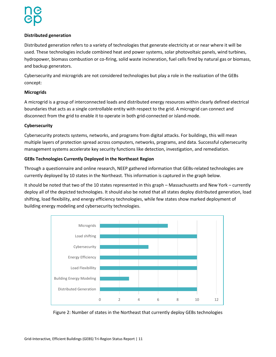#### **Distributed generation**

Distributed generation refers to a variety of technologies that generate electricity at or near where it will be used. These technologies include combined heat and power systems, solar photovoltaic panels, wind turbines, hydropower, biomass combustion or co-firing, solid waste incineration, fuel cells fired by natural gas or biomass, and backup generators.

Cybersecurity and microgrids are not considered technologies but play a role in the realization of the GEBs concept:

#### **Microgrids**

A microgrid is a group of interconnected loads and distributed energy resources within clearly defined electrical boundaries that acts as a single controllable entity with respect to the grid. A microgrid can connect and disconnect from the grid to enable it to operate in both grid-connected or island-mode.

#### **Cybersecurity**

Cybersecurity protects systems, networks, and programs from digital attacks. For buildings, this will mean multiple layers of protection spread across computers, networks, programs, and data. Successful cybersecurity management systems accelerate key security functions like detection, investigation, and remediation.

#### **GEBs Technologies Currently Deployed in the Northeast Region**

Through a questionnaire and online research, NEEP gathered information that GEBs-related technologies are currently deployed by 10 states in the Northeast. This information is captured in the graph below.

It should be noted that two of the 10 states represented in this graph – Massachusetts and New York – currently deploy all of the depicted technologies. It should also be noted that all states deploy distributed generation, load shifting, load flexibility, and energy efficiency technologies, while few states show marked deployment of building energy modeling and cybersecurity technologies.



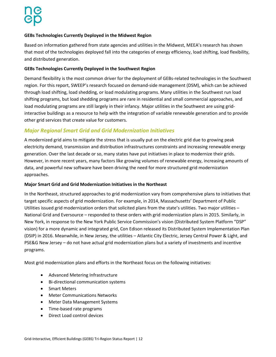#### **GEBs Technologies Currently Deployed in the Midwest Region**

Based on information gathered from state agencies and utilities in the Midwest, MEEA's research has shown that most of the technologies deployed fall into the categories of energy efficiency, load shifting, load flexibility, and distributed generation.

#### **GEBs Technologies Currently Deployed in the Southwest Region**

Demand flexibility is the most common driver for the deployment of GEBs-related technologies in the Southwest region. For this report, SWEEP's research focused on demand-side management (DSM), which can be achieved through load shifting, load shedding, or load modulating programs. Many utilities in the Southwest run load shifting programs, but load shedding programs are rare in residential and small commercial approaches, and load modulating programs are still largely in their infancy. Major utilities in the Southwest are using gridinteractive buildings as a resource to help with the integration of variable renewable generation and to provide other grid services that create value for customers.

### <span id="page-11-0"></span>*Major Regional Smart Grid and Grid Modernization Initiatives*

A modernized grid aims to mitigate the stress that is usually put on the electric grid due to growing peak electricity demand, transmission and distribution infrastructures constraints and increasing renewable energy generation. Over the last decade or so, many states have put initiatives in place to modernize their grids. However, in more recent years, many factors like growing volumes of renewable energy, increasing amounts of data, and powerful new software have been driving the need for more structured grid modernization approaches.

#### **Major Smart Grid and Grid Modernization Initiatives in the Northeast**

In the Northeast, structured approaches to grid modernization vary from comprehensive plans to initiatives that target specific aspects of grid modernization. For example, in 2014, Massachusetts' Department of Public Utilities issued grid modernization orders that solicited plans from the state's utilities. Two major utilities – National Grid and Eversource – responded to these orders with grid modernization plans in 2015. Similarly, in New York, in response to the New York Public Service Commission's vision (Distributed System Platform "DSP" vision) for a more dynamic and integrated grid, Con Edison released its Distributed System Implementation Plan (DSIP) in 2016. Meanwhile, in New Jersey, the utilities – Atlantic City Electric, Jersey Central Power & Light, and PSE&G New Jersey – do not have actual grid modernization plans but a variety of investments and incentive programs.

Most grid modernization plans and efforts in the Northeast focus on the following initiatives:

- Advanced Metering Infrastructure
- Bi-directional communication systems
- Smart Meters
- Meter Communications Networks
- Meter Data Management Systems
- Time-based rate programs
- Direct Load control devices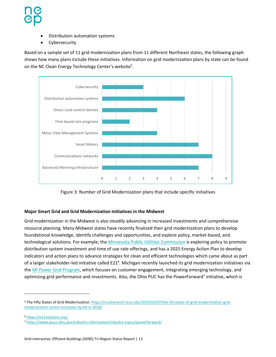- Distribution automation systems
- Cybersecurity

Based on a sample set of 11 grid modernization plans from 11 different Northeast states, the following graph shows how many plans include these initiatives. Information on grid modernization plans by state can be found on the NC Clean Energy Technology Center's website<sup>5</sup>.



Figure 3: Number of Grid Modernization plans that include specific initiatives

#### **Major Smart Grid and Grid Modernization Initiatives in the Midwest**

Grid modernization in the Midwest is also steadily advancing in increased investments and comprehensive resource planning. Many Midwest states have recently finalized their grid modernization plans to develop foundational knowledge, identify challenges and opportunities, and explore policy, market-based, and technological solutions. For example, the [Minnesota Public Utilities Commission](https://mn.gov/puc/) is exploring policy to promote distribution system investment and time of use rate offerings, and has a 2025 Energy Action Plan to develop indicators and action plans to advance strategies for clean and efficient technologies which came about as part of a larger stakeholder-led initiative called E21<sup>6</sup>. Michigan recently launched its grid modernization initiatives via the [MI Power Grid Program,](https://www.michigan.gov/mpsc/0,9535,7-395-93307_93312_93593---,00.html) which focuses on customer engagement, integrating emerging technology, and optimizing grid performance and investments. Also, the Ohio PUC has the PowerForward<sup>7</sup> initiative, which is

 $\overline{\phantom{a}}$ 

<sup>5</sup> The Fifty States of Grid Modernization. [https://nccleantech.ncsu.edu/2019/02/07/the-50-states-of-grid-modernization-grid](https://nccleantech.ncsu.edu/2019/02/07/the-50-states-of-grid-modernization-grid-modernization-action-increases-by-60-in-2018/)[modernization-action-increases-by-60-in-2018/](https://nccleantech.ncsu.edu/2019/02/07/the-50-states-of-grid-modernization-grid-modernization-action-increases-by-60-in-2018/)

<sup>6</sup> <https://e21initiative.org/>

<sup>7</sup> <https://www.puco.ohio.gov/industry-information/industry-topics/powerforward/>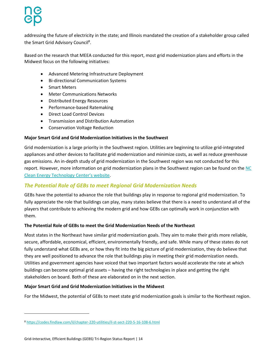addressing the future of electricity in the state; and Illinois mandated the creation of a stakeholder group called the Smart Grid Advisory Council<sup>8</sup>.

Based on the research that MEEA conducted for this report, most grid modernization plans and efforts in the Midwest focus on the following initiatives:

- Advanced Metering Infrastructure Deployment
- Bi-directional Communication Systems
- Smart Meters
- Meter Communications Networks
- Distributed Energy Resources
- Performance-based Ratemaking
- Direct Load Control Devices
- Transmission and Distribution Automation
- Conservation Voltage Reduction

#### **Major Smart Grid and Grid Modernization Initiatives in the Southwest**

Grid modernization is a large priority in the Southwest region. Utilities are beginning to utilize grid-integrated appliances and other devices to facilitate grid modernization and minimize costs, as well as reduce greenhouse gas emissions. An in-depth study of grid modernization in the Southwest region was not conducted for this report. However, more information on grid modernization plans in the Southwest region can be found on th[e NC](file:///C:/Users/gprocaccianti/Desktop/Connector/NC%20Clean%20Energy%20Technology%20Center’s%20website)  [Clean Energy Technology Center's website](file:///C:/Users/gprocaccianti/Desktop/Connector/NC%20Clean%20Energy%20Technology%20Center’s%20website).

### <span id="page-13-0"></span>*The Potential Role of GEBs to meet Regional Grid Modernization Needs*

GEBs have the potential to advance the role that buildings play in response to regional grid modernization. To fully appreciate the role that buildings can play, many states believe that there is a need to understand all of the players that contribute to achieving the modern grid and how GEBs can optimally work in conjunction with them.

#### **The Potential Role of GEBs to meet the Grid Modernization Needs of the Northeast**

Most states in the Northeast have similar grid modernization goals. They aim to make their grids more reliable, secure, affordable, economical, efficient, environmentally friendly, and safe. While many of these states do not fully understand what GEBs are, or how they fit into the big picture of grid modernization, they do believe that they are well positioned to advance the role that buildings play in meeting their grid modernization needs. Utilities and government agencies have voiced that two important factors would accelerate the rate at which buildings can become optimal grid assets – having the right technologies in place and getting the right stakeholders on board. Both of these are elaborated on in the next section.

#### **Major Smart Grid and Grid Modernization Initiatives in the Midwest**

For the Midwest, the potential of GEBs to meet state grid modernization goals is similar to the Northeast region.

 $\overline{\phantom{a}}$ 

<sup>8</sup> <https://codes.findlaw.com/il/chapter-220-utilities/il-st-sect-220-5-16-108-6.html>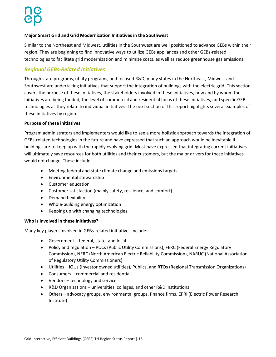#### **Major Smart Grid and Grid Modernization Initiatives in the Southwest**

Similar to the Northeast and Midwest, utilities in the Southwest are well positioned to advance GEBs within their region. They are beginning to find innovative ways to utilize GEBs appliances and other GEBs-related technologies to facilitate grid modernization and minimize costs, as well as reduce greenhouse gas emissions.

### <span id="page-14-0"></span>*Regional GEBs-Related Initiatives*

Through state programs, utility programs, and focused R&D, many states in the Northeast, Midwest and Southwest are undertaking initiatives that support the integration of buildings with the electric grid. This section covers the purpose of these initiatives, the stakeholders involved in these initiatives, how and by whom the initiatives are being funded, the level of commercial and residential focus of these initiatives, and specific GEBs technologies as they relate to individual initiatives. The next section of this report highlights several examples of these initiatives by region.

#### **Purpose of these initiatives**

Program administrators and implementers would like to see a more holistic approach towards the integration of GEBs-related technologies in the future and have expressed that such an approach would be inevitable if buildings are to keep up with the rapidly evolving grid. Most have expressed that integrating current initiatives will ultimately save resources for both utilities and their customers, but the major drivers for these initiatives would not change. These include:

- Meeting federal and state climate change and emissions targets
- Environmental stewardship
- Customer education
- Customer satisfaction (mainly safety, resilience, and comfort)
- Demand flexibility
- Whole-building energy optimization
- Keeping up with changing technologies

#### **Who is involved in these initiatives?**

Many key players involved in GEBs-related initiatives include:

- Government federal, state, and local
- Policy and regulation PUCs (Public Utility Commissions), FERC (Federal Energy Regulatory Commission), NERC (North American Electric Reliability Commission), NARUC (National Association of Regulatory Utility Commissioners)
- Utilities IOUs (Investor owned utilities), Publics, and RTOs (Regional Transmission Organizations)
- Consumers commercial and residential
- Vendors technology and service
- R&D Organizations universities, colleges, and other R&D institutions
- Others advocacy groups, environmental groups, finance firms, EPRI (Electric Power Research Institute)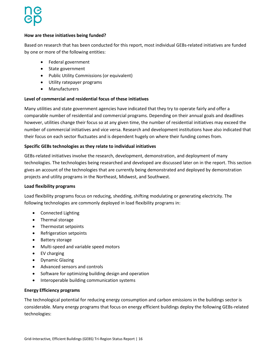#### **How are these initiatives being funded?**

Based on research that has been conducted for this report, most individual GEBs-related initiatives are funded by one or more of the following entities:

- Federal government
- State government
- Public Utility Commissions (or equivalent)
- Utility ratepayer programs
- Manufacturers

#### **Level of commercial and residential focus of these initiatives**

Many utilities and state government agencies have indicated that they try to operate fairly and offer a comparable number of residential and commercial programs. Depending on their annual goals and deadlines however, utilities change their focus so at any given time, the number of residential initiatives may exceed the number of commercial initiatives and vice versa. Research and development institutions have also indicated that their focus on each sector fluctuates and is dependent hugely on where their funding comes from.

#### **Specific GEBs technologies as they relate to individual initiatives**

GEBs-related initiatives involve the research, development, demonstration, and deployment of many technologies. The technologies being researched and developed are discussed later on in the report. This section gives an account of the technologies that are currently being demonstrated and deployed by demonstration projects and utility programs in the Northeast, Midwest, and Southwest.

#### **Load flexibility programs**

Load flexibility programs focus on reducing, shedding, shifting modulating or generating electricity. The following technologies are commonly deployed in load flexibility programs in:

- Connected Lighting
- Thermal storage
- Thermostat setpoints
- Refrigeration setpoints
- Battery storage
- Multi-speed and variable speed motors
- EV charging
- Dynamic Glazing
- Advanced sensors and controls
- Software for optimizing building design and operation
- Interoperable building communication systems

#### **Energy Efficiency programs**

The technological potential for reducing energy consumption and carbon emissions in the buildings sector is considerable. Many energy programs that focus on energy efficient buildings deploy the following GEBs-related technologies: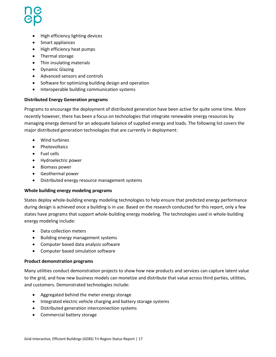- High efficiency lighting devices
- Smart appliances
- High efficiency heat pumps
- Thermal storage
- Thin insulating materials
- Dynamic Glazing
- Advanced sensors and controls
- Software for optimizing building design and operation
- Interoperable building communication systems

#### **Distributed Energy Generation programs**

Programs to encourage the deployment of distributed generation have been active for quite some time. More recently however, there has been a focus on technologies that integrate renewable energy resources by managing energy demand for an adequate balance of supplied energy and loads. The following list covers the major distributed generation technologies that are currently in deployment:

- Wind turbines
- Photovoltaics
- Fuel cells
- Hydroelectric power
- Biomass power
- Geothermal power
- Distributed energy resource management systems

#### **Whole building energy modeling programs**

States deploy whole-building energy modeling technologies to help ensure that predicted energy performance during design is achieved once a building is in use. Based on the research conducted for this report, only a few states have programs that support whole-building energy modeling. The technologies used in whole-building energy modeling include:

- Data collection meters
- Building energy management systems
- Computer based data analysis software
- Computer based simulation software

#### **Product demonstration programs**

Many utilities conduct demonstration projects to show how new products and services can capture latent value to the grid, and how new business models can monetize and distribute that value across third parties, utilities, and customers. Demonstrated technologies include:

- Aggregated behind the meter energy storage
- Integrated electric vehicle charging and battery storage systems
- Distributed generation interconnection systems
- Commercial battery storage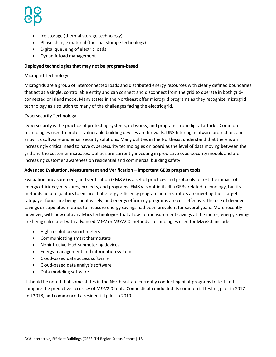- Ice storage (thermal storage technology)
- Phase change material (thermal storage technology)
- Digital queueing of electric loads
- Dynamic load management

#### **Deployed technologies that may not be program-based**

#### Microgrid Technology

Microgrids are a group of interconnected loads and distributed energy resources with clearly defined boundaries that act as a single, controllable entity and can connect and disconnect from the grid to operate in both gridconnected or island mode. Many states in the Northeast offer microgrid programs as they recognize microgrid technology as a solution to many of the challenges facing the electric grid.

#### Cybersecurity Technology

Cybersecurity is the practice of protecting systems, networks, and programs from digital attacks. Common technologies used to protect vulnerable building devices are firewalls, DNS filtering, malware protection, and antivirus software and email security solutions. Many utilities in the Northeast understand that there is an increasingly critical need to have cybersecurity technologies on board as the level of data moving between the grid and the customer increases. Utilities are currently investing in predictive cybersecurity models and are increasing customer awareness on residential and commercial building safety.

#### **Advanced Evaluation, Measurement and Verification – important GEBs program tools**

Evaluation, measurement, and verification (EM&V) is a set of practices and protocols to test the impact of energy efficiency measures, projects, and programs. EM&V is not in itself a GEBs-related technology, but its methods help regulators to ensure that energy efficiency program administrators are meeting their targets, ratepayer funds are being spent wisely, and energy efficiency programs are cost effective. The use of deemed savings or stipulated metrics to measure energy savings had been prevalent for several years. More recently however, with new data analytics technologies that allow for measurement savings at the meter, energy savings are being calculated with advanced M&V or M&V2.0 methods. Technologies used for M&V2.0 include:

- High-resolution smart meters
- Communicating smart thermostats
- Nonintrusive load-submetering devices
- Energy management and information systems
- Cloud-based data access software
- Cloud-based data analysis software
- Data modeling software

It should be noted that some states in the Northeast are currently conducting pilot programs to test and compare the predictive accuracy of M&V2.0 tools. Connecticut conducted its commercial testing pilot in 2017 and 2018, and commenced a residential pilot in 2019.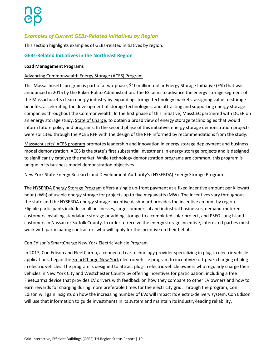### <span id="page-18-0"></span>*Examples of Current GEBs-Related Initiatives by Region*

This section highlights examples of GEBs-related initiatives by region.

#### **GEBs-Related Initiatives in the Northeast Region**

#### **Load Management Programs**

#### Advancing Commonwealth Energy Storage (ACES) Program

This Massachusetts program is part of a two-phase, \$10 million-dollar Energy Storage Initiative (ESI) that was announced in 2015 by the Baker-Polito Administration. The ESI aims to advance the energy storage segment of the Massachusetts clean energy industry by expanding storage technology markets, assigning value to storage benefits, accelerating the development of storage technologies, and attracting and supporting energy storage companies throughout the Commonwealth. In the first phase of this initiative, MassCEC partnered with DOER on an energy storage study[, State of Charge](http://www.mass.gov/eea/docs/doer/state-of-charge-report.pdf)*,* to obtain a broad view of energy storage technologies that would inform future policy and programs. In the second phase of this initiative, energy storage demonstration projects were solicited through [the ACES RFP](https://www.masscec.com/advancing-commonwealth-energy-storage-rfp) with the design of the RFP informed by recommendations from the study.

[Massachusetts' ACES program](https://www.masscec.com/advancing-commonwealth-energy-storage-aces) promotes leadership and innovation in energy storage deployment and business model demonstration. ACES is the state's first substantial investment in energy storage projects and is designed to significantly catalyze the market. While technology demonstration programs are common, this program is unique in its business model demonstration objectives.

#### New York State Energy Research and Development Authority's (NYSERDA) Energy Storage Program

The [NYSERDA Energy Storage Program](https://www.nyserda.ny.gov/All%20Programs/Programs/Energy%20Storage/Energy%20Storage%20for%20Your%20Business) offers a single up-front payment at a fixed incentive amount per kilowatt hour (kWh) of usable energy storage for projects up to five megawatts (MW). The incentives vary throughout the state and the NYSERDA energy storage [incentive dashboard](https://www.nyserda.ny.gov/All-Programs/Programs/Energy-Storage/Developers-Contractors-and-Vendors/Retail-Incentive-Offer/Incentive-Dashboard) provides the incentive amount by region. Eligible participants include small businesses, large commercial and industrial businesses, demand-metered customers installing standalone storage or adding storage to a completed solar project, and PSEG Long Island customers in Nassau or Suffolk County. In order to receive the energy storage incentive, interested parties must [work with participating contractors](https://www.nyserda.ny.gov/Contractors/Find-a-Contractor/Energy-Storage-Participating-Contractors) who will apply for the incentive on their behalf.

#### Con Edison's SmartCharge New York Electric Vehicle Program

In 2017, Con Edison and FleetCarma, a connected car technology provider specializing in plug-in electric vehicle applications, began th[e SmartCharge New York](https://www.fleetcarma.com/smartchargenewyork/) electric vehicle program to incentivize off-peak charging of plugin electric vehicles. The program is designed to attract plug-in electric vehicle owners who regularly charge their vehicles in New York City and Westchester County by offering incentives for participation, including a free FleetCarma device that provides EV drivers with feedback on how they compare to other EV owners and how to earn rewards for charging during more preferable times for the electricity grid. Through the program, Con Edison will gain insights on how the increasing number of EVs will impact its electric-delivery system. Con Edison will use that information to guide investments in its system and maintain its industry-leading reliability.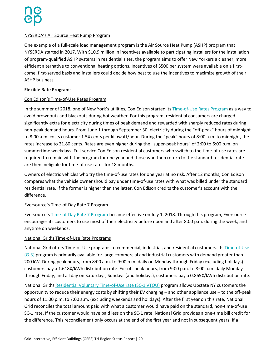#### NYSERDA's Air Source Heat Pump Program

One example of a full-scale load management program is the Air Source Heat Pump (ASHP) program that NYSERDA started in 2017. With \$10.9 million in incentives available to participating installers for the installation of program-qualified ASHP systems in residential sites, the program aims to offer New Yorkers a cleaner, more efficient alternative to conventional heating options. Incentives of \$500 per system were available on a firstcome, first-served basis and installers could decide how best to use the incentives to maximize growth of their ASHP business.

#### **Flexible Rate Programs**

#### Con Edison's Time-of-Use Rates Program

In the summer of 2018, one of New York's utilities, Con Edison started its Time-of-Use [Rates Program](https://www.coned.com/en/save-money/energy-saving-programs/time-of-use) as a way to avoid brownouts and blackouts during hot weather. For this program, residential consumers are charged significantly extra for electricity during times of peak demand and rewarded with sharply reduced rates during non-peak demand hours. From June 1 through September 30, electricity during the "off-peak" hours of midnight to 8:00 a.m. costs customer 1.54 cents per kilowatt/hour. During the "peak" hours of 8:00 a.m. to midnight, the rates increase to 21.80 cents. Rates are even higher during the "super-peak hours" of 2:00 to 6:00 p.m. on summertime weekdays. Full-service Con Edison residential customers who switch to the time-of-use rates are required to remain with the program for one year and those who then return to the standard residential rate are then ineligible for time-of-use rates for 18 months.

Owners of electric vehicles who try the time-of-use rates for one year at no risk. After 12 months, Con Edison compares what the vehicle owner should pay under time-of-use rates with what was billed under the standard residential rate. If the former is higher than the latter, Con Edison credits the customer's account with the difference.

#### Eversource's Time-of-Day Rate 7 Program

Eversource's [Time-of-Day Rate 7 Program](https://www.eversource.com/content/ct-c/residential/my-account/billing-payments/about-your-bill/rates-and-tariffs/time-of-day-rate-7) became effective on July 1, 2018. Through this program, Eversource encourages its customers to use most of their electricity before noon and after 8:00 p.m. during the week, and anytime on weekends.

#### National Grid's Time-of-Use Rate Programs

National Grid offers Time-of-Use programs to commercial, industrial, and residential customers. Its [Time-of-Use](https://www9.nationalgridus.com/niagaramohawk/business/rates/4_tou.asp)  [\(G-3\)](https://www9.nationalgridus.com/niagaramohawk/business/rates/4_tou.asp) program is primarily available for large commercial and industrial customers with demand greater than 200 kW. During peak hours, from 8:00 a.m. to 9:00 p.m. daily on Monday through Friday (excluding holidays) customers pay a 1.618¢/kWh distribution rate. For off-peak hours, from 9:00 p.m. to 8:00 a.m. daily Monday through Friday, and all day on Saturdays, Sundays (and holidays), customers pay a 0.865¢/kWh distribution rate.

National Grid's [Residential Voluntary Time-of-Use rate \(SC-1 VTOU\)](https://www.nationalgridus.com/media/pdfs/resi-ways-to-save/vtou-customer-enrollment-form2019.pdf) program allows Upstate NY customers the opportunity to reduce their energy costs by shifting their EV charging – and other appliance use – to the off-peak hours of 11:00 p.m. to 7:00 a.m. (excluding weekends and holidays). After the first year on this rate, National Grid reconciles the total amount paid with what a customer would have paid on the standard, non-time-of-use SC-1 rate. If the customer would have paid less on the SC-1 rate, National Grid provides a one-time bill credit for the difference. This reconcilement only occurs at the end of the first year and not in subsequent years. If a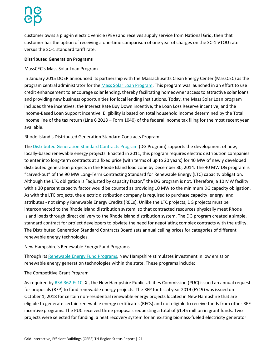customer owns a plug-in electric vehicle (PEV) and receives supply service from National Grid, then that customer has the option of receiving a one-time comparison of one year of charges on the SC-1 VTOU rate versus the SC-1 standard tariff rate.

#### **Distributed Generation Programs**

#### MassCEC's Mass Solar Loan Program

In January 2015 DOER announced its partnership with the Massachusetts Clean Energy Center (MassCEC) as the program central administrator for the [Mass Solar Loan Program.](https://www.masscec.com/loan-support-incentives) This program was launched in an effort to use credit enhancement to encourage solar lending, thereby facilitating homeowner access to attractive solar loans and providing new business opportunities for local lending institutions. Today, the Mass Solar Loan program includes three incentives: the Interest Rate Buy Down incentive, the Loan Loss Reserve incentive, and the Income-Based Loan Support incentive. Eligibility is based on total household income determined by the Total Income line of the tax return (Line 6 2018 – Form 1040) of the federal income tax filing for the most recent year available.

#### Rhode Island's Distributed Generation Standard Contracts Program

The [Distributed Generation Standard Contracts Program](http://www.energy.ri.gov/renewable/dg/) (DG Program) supports the development of new, locally-based renewable energy projects. Enacted in 2011, this program requires electric distribution companies to enter into long-term contracts at a fixed price (with terms of up to 20 years) for 40 MW of newly developed distributed generation projects in the Rhode Island load zone by December 30, 2014. The 40 MW DG program is "carved-out" of the 90 MW Long-Term Contracting Standard for Renewable Energy (LTC) capacity obligation. Although the LTC obligation is "adjusted by capacity factor," the DG program is not. Therefore, a 10 MW facility with a 30 percent capacity factor would be counted as providing 10 MW to the minimum DG capacity obligation. As with the LTC projects, the electric distribution company is required to purchase capacity, energy, and attributes - not simply Renewable Energy Credits (RECs). Unlike the LTC projects, DG projects must be interconnected to the Rhode Island distribution system, so that contracted resources physically meet Rhode Island loads through direct delivery to the Rhode Island distribution system. The DG program created a simple, standard contract for project developers to obviate the need for negotiating complex contracts with the utility. The Distributed Generation Standard Contracts Board sets annual ceiling prices for categories of different renewable energy technologies.

#### New Hampshire's Renewable Energy Fund Programs

Through its [Renewable Energy Fund Programs,](http://www.puc.state.nh.us/Sustainable%20Energy/Renewable%20Energy%20Fund/20191001-ref-report-to-legislature-2019-annual-report.pdf) New Hampshire stimulates investment in low emission renewable energy generation technologies within the state. These programs include:

#### The Competitive Grant Program

As required b[y RSA 362-F:](http://www.gencourt.state.nh.us/rsa/html/XXXIV/362-F/362-F-10.htm) 10, XI, the New Hampshire Public Utilities Commission (PUC) issued an annual request for proposals (RFP) to fund renewable energy projects. The RFP for fiscal year 2019 (FY19) was issued on October 1, 2018 for certain non-residential renewable energy projects located in New Hampshire that are eligible to generate certain renewable energy certificates (RECs) and not eligible to receive funds from other REF incentive programs. The PUC received three proposals requesting a total of \$1.45 million in grant funds. Two projects were selected for funding: a heat recovery system for an existing biomass-fueled electricity generator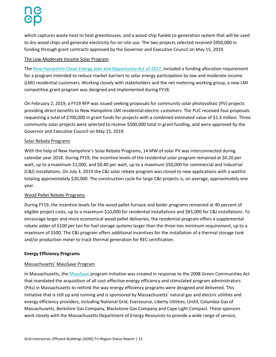which captures waste heat to heat greenhouses, and a wood-chip fueled co-generation system that will be used to dry wood chips and generate electricity for on-site use. The two projects selected received \$950,000 in funding through grant contracts approved by the Governor and Executive Council on May 15, 2019.

#### The Low-Moderate Income Solar Program

The [New Hampshire Clean Energy Jobs and Opportunity Act of 2017,](https://legiscan.com/NH/text/SB129/id/1476954) included a funding allocation requirement for a program intended to reduce market barriers to solar energy participation by low and moderate income (LMI) residential customers. Working closely with stakeholders and the net metering working group, a new LMI competitive grant program was designed and implemented during FY18.

On February 2, 2019, a FY19 RFP was issued seeking proposals for community solar photovoltaic (PV) projects providing direct benefits to New Hampshire LMI residential electric customers. The PUC received four proposals requesting a total of \$700,000 in grant funds for projects with a combined estimated value of \$1.3 million. Three community solar projects were selected to receive \$500,000 total in grant funding, and were approved by the Governor and Executive Council on May 15, 2019.

#### Solar Rebate Programs

With the help of New Hampshire's Solar Rebate Programs, 14 MW of solar PV was interconnected during calendar year 2018. During FY19, the incentive levels of the residential solar program remained at \$0.20 per watt, up to a maximum \$1,000, and \$0.40 per watt, up to a maximum \$50,000 for commercial and industrial (C&I) installations. On July 3, 2019 the C&I solar rebate program was closed to new applications with a waitlist totaling approximately \$20,000. The construction cycle for large C&I projects is, on average, approximately one year.

### Wood Pellet Rebate Programs

During FY19, the incentive levels for the wood pellet furnace and boiler programs remained at 40 percent of eligible project costs, up to a maximum \$10,000 for residential installations and \$65,000 for C&I installations. To encourage larger and more economical wood pellet deliveries, the residential program offers a supplemental rebate adder of \$100 per ton for fuel storage systems larger than the three-ton minimum requirement, up to a maximum of \$500. The C&I program offers additional incentives for the installation of a thermal storage tank and/or production meter to track thermal generation for REC certification.

### **Energy Efficiency Programs**

### Massachusetts' MassSave Program

In Massachusetts, the [MassSave](https://www.masssave.com/) program initiative was created in response to the 2008 Green Communities Act that mandated the acquisition of all cost-effective energy efficiency and stimulated program administrators (PAs) in Massachusetts to rethink the way energy efficiency programs were designed and delivered. This initiative that is still up and running and is sponsored by Massachusetts' natural gas and electric utilities and energy efficiency providers, including National Grid, Eversource, Liberty Utilities, Unitil, Columbia Gas of Massachusetts, Berkshire Gas Company, Blackstone Gas Company and Cape Light Compact. These sponsors work closely with the Massachusetts Department of Energy Resources to provide a wide range of service,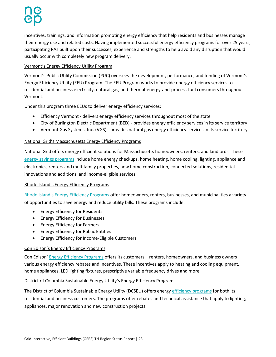incentives, trainings, and information promoting energy efficiency that help residents and businesses manage their energy use and related costs. Having implemented successful energy efficiency programs for over 25 years, participating PAs built upon their successes, experience and strengths to help avoid any disruption that would usually occur with completely new program delivery.

#### Vermont's Energy Efficiency Utility Program

Vermont's Public Utility Commission (PUC) oversees the development, performance, and funding of Vermont's Energy Efficiency Utility (EEU) Program. The EEU Program works to provide energy efficiency services to residential and business electricity, natural gas, and thermal-energy-and-process-fuel consumers throughout Vermont.

Under this program three EEUs to deliver energy efficiency services:

- [Efficiency Vermont](https://www.efficiencyvermont.com/) delivers energy efficiency services throughout most of the state
- [City of Burlington Electric Department \(BED\)](http://www.burlingtonelectric.com/) provides energy efficiency services in its service territory
- [Vermont Gas Systems, Inc. \(VGS\)](https://vermontgas.com/) provides natural gas energy efficiency services in its service territory

#### National Grid's Massachusetts Energy Efficiency Programs

National Grid offers energy efficient solutions for Massachusetts homeowners, renters, and landlords. These [energy savings programs](https://www.nationalgridus.com/MA-Home/Energy-Saving-Programs/) include home energy checkups, home heating, home cooling, lighting, appliance and electronics, renters and multifamily properties, new home construction, connected solutions, residential innovations and additions, and income-eligible services.

#### Rhode Island's Energy Efficiency Programs

[Rhode Island's Energy Efficiency Programs](http://www.energy.ri.gov/energy-efficiency/) offer homeowners, renters, businesses, and municipalities a variety of opportunities to save energy and reduce utility bills. These programs include:

- [Energy Efficiency for Residents](http://www.energy.ri.gov/energy-efficiency/residents/)
- **•** [Energy Efficiency for Businesses](http://www.energy.ri.gov/energy-efficiency/businesses/)
- **•** [Energy Efficiency for Farmers](http://www.energy.ri.gov/policies-programs/programs-incentives/farms.php)
- [Energy Efficiency for Public Entities](http://www.energy.ri.gov/energy-efficiency/municipalities/)
- [Energy Efficiency for Income-Eligible Customers](http://www.energy.ri.gov/energy-efficiency/income-eligible/)

#### Con Edison's Energy Efficiency Programs

Con Edison' [Energy Efficiency Programs](https://www.coned.com/en/save-money/rebates-incentives-tax-credits) offers its customers – renters, homeowners, and business owners – various energy efficiency rebates and incentives. These incentives apply to heating and cooling equipment, home appliances, LED lighting fixtures, prescriptive variable frequency drives and more.

#### District of Columbia Sustainable Energy Utility's Energy Efficiency Programs

The District of Columbia Sustainable Energy Utility (DCSEU) offers energ[y efficiency programs](https://doee.dc.gov/service/dc-sustainable-energy-utility-dcseu) for both its residential and business customers. The programs offer rebates and technical assistance that apply to lighting, appliances, major renovation and new construction projects.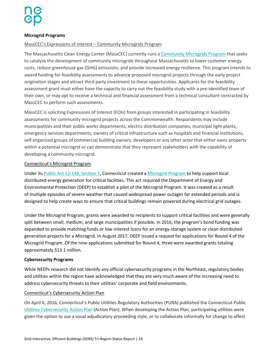#### **Microgrid Programs**

#### MassCEC's Expressions of Interest – Community Microgrids Program

The Massachusetts Clean Energy Center (MassCEC) currently runs [a Community Microgrids Program](https://www.districtenergy.org/blogs/district-energy/2017/06/22/expressions-of-interest-community-microgrids-program) that seeks to catalyze the development of community microgrids throughout Massachusetts to lower customer energy costs, reduce greenhouse gas (GHG) emissions, and provide increased energy resilience. This program intends to award funding for feasibility assessments to advance proposed microgrid projects through the early project origination stages and attract third party investment to these opportunities. Applicants for the feasibility assessment grant must either have the capacity to carry out the feasibility study with a pre-identified team of their own, or may opt to receive a technical and financial assessment from a technical consultant contracted by MassCEC to perform such assessments.

MassCEC is soliciting Expressions of Interest (EOIs) from groups interested in participating in feasibility assessments for community microgrid projects across the Commonwealth. Respondents may include municipalities and their public works departments, electric distribution companies, municipal light plants, emergency services departments, owners of critical infrastructure such as hospitals and financial institutions, self-organized groups of commercial building owners, developers or any other actor that either owns property within a potential microgrid or can demonstrate that they represent stakeholders with the capability of developing a community microgrid.

#### Connecticut's Microgrid Program

Under its [Public Act 12-148, Section 7,](http://www.cga.ct.gov/2012/ACT/Pa/pdf/2012PA-00148-R00SB-00023-PA.pdf) Connecticut created [a Microgrid Program](https://www.ct.gov/deep/cwp/view.asp?a=4405&Q=508780) to help support local distributed energy generation for critical facilities. This act required the Department of Energy and Environmental Protection (DEEP) to establish a pilot of the Microgrid Program. It was created as a result of multiple episodes of severe weather that caused widespread power outages for extended periods and is designed to help create ways to ensure that critical buildings remain powered during electrical grid outages.

Under the Microgrid Program, grants were awarded to recipients to support critical facilities and were generally split between small, medium, and large municipalities if possible. In 2016, the program's bond funding was expanded to provide matching funds or low-interest loans for an energy-storage system or clean distributedgeneration projects for a Microgrid. In August 2017, DEEP issued a request for applications for Round 4 of the Microgrid Program. Of the nine applications submitted for Round 4, three were awarded grants totaling approximately \$13.1 million.

#### **Cybersecurity Programs**

While NEEPs research did not identify any official cybersecurity programs in the Northeast, regulatory bodies and utilities within the region have acknowledged that they are very much aware of the increasing need to address cybersecurity threats to their utilities' corporate and field environments.

#### Connecticut's Cybersecurity Action Plan

On April 6, 2016, Connecticut's Public Utilities Regulatory Authorities (PURA) published the Connecticut Public [Utilities Cybersecurity Action Plan](https://www.ct.gov/pura/lib/pura/electric/cyber_report_April_6_2016.pdf) (Action Plan). When developing the Action Plan, participating utilities were given the option to use a usual adjudicatory proceeding style, or to collaborate informally for change to affect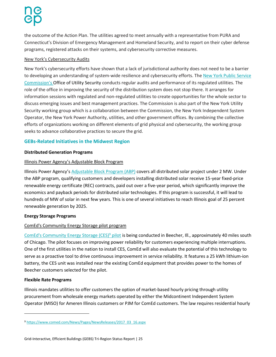the outcome of the Action Plan. The utilities agreed to meet annually with a representative from PURA and Connecticut's Division of Emergency Management and Homeland Security, and to report on their cyber defense programs, registered attacks on their systems, and cybersecurity corrective measures.

#### New York's Cybersecurity Audits

New York's cybersecurity efforts have shown that a lack of jurisdictional authority does not need to be a barrier to developing an understanding of system-wide resilience and cybersecurity efforts. The [New York Public Service](https://www.dps.ny.gov/)  Commission's [Office of Utility Security](https://www.dps.ny.gov/) conducts regular audits and performance of its regulated utilities. The role of the office in improving the security of the distribution system does not stop there. It arranges for information sessions with regulated and non-regulated utilities to create opportunities for the whole sector to discuss emerging issues and best management practices. The Commission is also part of the New York Utility Security working group which is a collaboration between the Commission, the New York Independent System Operator, the New York Power Authority, utilities, and other government offices. By combining the collective efforts of organizations working on different elements of grid physical and cybersecurity, the working group seeks to advance collaborative practices to secure the grid.

#### **GEBs-Related Initiatives in the Midwest Region**

#### **Distributed Generation Programs**

#### Illinois Power Agency's Adjustable Block Program

Illinois Power Agency's [Adjustable Block Program \(ABP\)](https://illinoisabp.com/) covers all distributed solar project under 2 MW. Under the ABP program, qualifying customers and developers installing distributed solar receive 15-year fixed-price renewable energy certificate (REC) contracts, paid out over a five-year period, which significantly improve the economics and payback periods for distributed solar technologies. If this program is successful, it will lead to hundreds of MW of solar in next few years. This is one of several initiatives to reach Illinois goal of 25 percent renewable generation by 2025.

#### **Energy Storage Programs**

#### ComEd's Community Energy Storage pilot program

[ComEd's Community Energy Storage \(CES\)](https://www.comed.com/News/Pages/NewsReleases/2017_03_16.aspx)<sup>9</sup> pilot is being conducted in Beecher, Ill., approximately 40 miles south of Chicago. The pilot focuses on improving power reliability for customers experiencing multiple interruptions. One of the first utilities in the nation to install CES, ComEd will also evaluate the potential of this technology to serve as a proactive tool to drive continuous improvement in service reliability. It features a 25 kWh lithium-ion battery, the CES unit was installed near the existing ComEd equipment that provides power to the homes of Beecher customers selected for the pilot.

#### **Flexible Rate Programs**

 $\overline{\phantom{a}}$ 

Illinois mandates utilities to offer customers the option of market-based hourly pricing through utility procurement from wholesale energy markets operated by either the Midcontinent Independent System Operator (MISO) for Ameren Illinois customers or PJM for ComEd customers. The law requires residential hourly

<sup>9</sup> [https://www.comed.com/News/Pages/NewsReleases/2017\\_03\\_16.aspx](https://www.comed.com/News/Pages/NewsReleases/2017_03_16.aspx)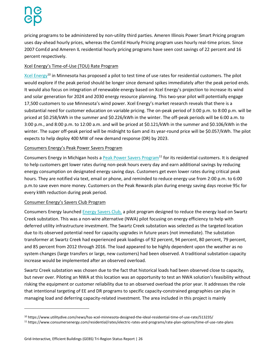pricing programs to be administered by non-utility third parties. Ameren Illinois Power Smart Pricing program uses day-ahead hourly prices, whereas the ComEd Hourly Pricing program uses hourly real-time prices. Since 2007 ComEd and Ameren IL residential hourly pricing programs have seen cost savings of 22 percent and 16 percent respectively.

### Xcel Energy's Time-of-Use (TOU) Rate Program

[Xcel Energy](https://www.xcelenergy.com/company)<sup>10</sup> in Minnesota has proposed a pilot to test time of use rates for residential customers. The pilot would explore if the peak period should be longer since demand spikes immediately after the peak period ends. It would also focus on integration of renewable energy based on Xcel Energy's projection to increase its wind and solar generation for 2024 and 2030 energy resource planning. This two-year pilot will potentially engage 17,500 customers to use Minnesota's wind power. Xcel Energy's market research reveals that there is a substantial need for customer education on variable pricing. The on-peak period of 3:00 p.m. to 8:00 p.m. will be priced at \$0.258/kWh in the summer and \$0.226/kWh in the winter. The off-peak periods will be 6:00 a.m. to 3:00 p.m., and 8:00 p.m. to 12:00 a.m. and will be priced at \$0.121/kWh in the summer and \$0.106/kWh in the winter. The super off-peak period will be midnight to 6am and its year-round price will be \$0.057/kWh. The pilot expects to help deploy 400 MW of new demand response (DR) by 2023.

### Consumers Energy's Peak Power Savers Program

Consumers Energy in Michigan hosts a [Peak Power Savers Program](https://www.consumersenergy.com/residential/rates/electric-rates-and-programs/rate-plan-options/time-of-use-rate-plans)<sup>11</sup> for its residential customers. It is designed to help customers get lower rates during non-peak hours every day and earn additional savings by reducing energy consumption on designated energy saving days. Customers get even lower rates during critical peak hours. They are notified via text, email or phone, and reminded to reduce energy use from 2:00 p.m. to 6:00 p.m.to save even more money. Customers on the Peak Rewards plan during energy saving days receive 95c for every kWh reduction during peak period.

#### Consumer Energy's Savers Club Program

l

Consumers Energy launched [Energy Savers Club,](https://energysaversclub.consumersenergy.com/Content/SE_EnergySaversClub_SwartzCreek_TermsConditions_8-2017.pdf) a pilot program designed to reduce the energy load on Swartz Creek substation. This was a non-wire alternative (NWA) pilot focusing on energy efficiency to help with deferred utility infrastructure investment. The Swartz Creek substation was selected as the targeted location due to its observed potential need for capacity upgrades in future years (not immediate). The substation transformer at Swartz Creek had experienced peak loadings of 92 percent, 94 percent, 80 percent, 79 percent, and 85 percent from 2012 through 2016. The load appeared to be highly dependent upon the weather as no system changes (large transfers or large, new customers) had been observed. A traditional substation capacity increase would be implemented after an observed overload.

Swartz Creek substation was chosen due to the fact that historical loads had been observed close to capacity, but never over. Piloting an NWA at this location was an opportunity to test an NWA solution's feasibility without risking the equipment or customer reliability due to an observed overload the prior year. It addresses the role that intentional targeting of EE and DR programs to specific capacity-constrained geographies can play in managing load and deferring capacity-related investment. The area included in this project is mainly

<sup>10</sup> https://www.utilitydive.com/news/has-xcel-minnesota-designed-the-ideal-residential-time-of-use-rate/513235/

<sup>11</sup> https://www.consumersenergy.com/residential/rates/electric-rates-and-programs/rate-plan-options/time-of-use-rate-plans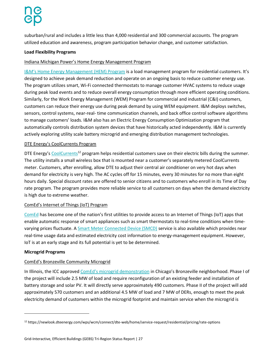suburban/rural and includes a little less than 4,000 residential and 300 commercial accounts. The program utilized education and awareness, program participation behavior change, and customer satisfaction.

#### **Load Flexibility Programs**

#### Indiana Michigan Power's Home Energy Management Program

[I&M's Home Energy Management \(HEM\) Program](https://mi-psc.force.com/sfc/servlet.shepherd/version/download/068t0000004Q5rJAAS) is a load management program for residential customers. It's designed to achieve peak demand reduction and operate on an ongoing basis to reduce customer energy use. The program utilizes smart, Wi-Fi connected thermostats to manage customer HVAC systems to reduce usage during peak load events and to reduce overall energy consumption through more efficient operating conditions. Similarly, for the Work Energy Management (WEM) Program for commercial and industrial (C&I) customers, customers can reduce their energy use during peak demand by using WEM equipment. I&M deploys switches, sensors, control systems, near-real- time communication channels, and back office control software algorithms to manage customers' loads. I&M also has an Electric Energy Consumption Optimization program that automatically controls distribution system devices that have historically acted independently. I&M is currently actively exploring utility scale battery microgrid and emerging distribution management technologies.

#### DTE Energy's CoolCurrents Program

DTE Energy's CoolCurrents<sup>12</sup> program helps residential customers save on their electric bills during the summer. The utility installs a small wireless box that is mounted near a customer's separately metered CoolCurrents meter. Customers, after enrolling, allow DTE to adjust their central air conditioner on very hot days when demand for electricity is very high. The AC cycles off for 15 minutes, every 30 minutes for no more than eight hours daily. Special discount rates are offered to senior citizens and to customers who enroll in its Time of Day rate program. The program provides more reliable service to all customers on days when the demand electricity is high due to extreme weather.

#### ComEd's Internet of Things (IoT) Program

[ComEd](https://www.comed.com/Pages/default.aspx) has become one of the nation's first utilities to provide access to an Internet of Things (IoT) apps that enable automatic response of smart appliances such as smart thermostats to real-time conditions when timevarying prices fluctuate. [A Smart Meter Connected Device \(SMCD\)](https://www.comed.com/WaysToSave/ForYourHome/Pages/SmartMeterConnectedDevices.aspx) service is also available which provides near real-time usage data and estimated electricity cost information to energy-management equipment. However, IoT is at an early stage and its full potential is yet to be determined.

#### **Microgrid Programs**

 $\overline{\phantom{a}}$ 

#### ComEd's Bronzeville Community Microgrid

In Illinois, the ICC approved [ComEd's microgrid demonstration](https://bronzevillecommunityofthefuture.com/project-microgrid/) in Chicago's Bronzeville neighborhood. Phase I of the project will include 2.5 MW of load and require reconfiguration of an existing feeder and installation of battery storage and solar PV. It will directly serve approximately 490 customers. Phase II of the project will add approximately 570 customers and an additional 4.5 MW of load and 7 MW of DERs, enough to meet the peak electricity demand of customers within the microgrid footprint and maintain service when the microgrid is

<sup>12</sup> https://newlook.dteenergy.com/wps/wcm/connect/dte-web/home/service-request/residential/pricing/rate-options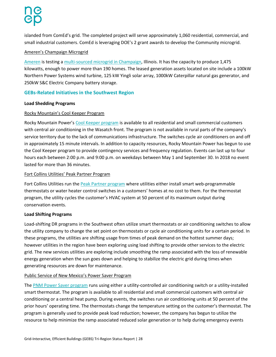islanded from ComEd's grid. The completed project will serve approximately 1,060 residential, commercial, and small industrial customers. ComEd is leveraging DOE's 2 grant awards to develop the Community microgrid.

#### Ameren's Champaign Microgrid

[Ameren](https://www.ameren.com/illinois/) is testing [a multi-sourced microgrid in Champaign,](http://www.google.com/url?sa=t&rct=j&q=&esrc=s&source=web&cd=1&ved=2ahUKEwixpueth_XmAhVNo54KHeqPCfEQFjAAegQIBRAC&url=http%3A%2F%2Fameren.mediaroom.com%2Fdownload%2Fmicrogrid-facts.pdf&usg=AOvVaw2WoiL6aIDENS1qshVmnmyk) Illinois. It has the capacity to produce 1,475 kilowatts, enough to power more than 190 homes. The leased generation assets located on site include a 100kW Northern Power Systems wind turbine, 125 kW Yingli solar array, 1000kW Caterpillar natural gas generator, and 250kW S&C Electric Company battery storage.

### **GEBs-Related Initiatives in the Southwest Region**

#### **Load Shedding Programs**

### Rocky Mountain's Cool Keeper Program

Rocky Mountain Power's [Cool Keeper program](https://www.rockymountainpower.net/coolkeeper) is available to all residential and small commercial customers with central air conditioning in the Wasatch front. The program is not available in rural parts of the company's service territory due to the lack of communications infrastructure. The switches cycle air conditioners on and off in approximately 15 minute intervals. In addition to capacity resources, Rocky Mountain Power has begun to use the Cool Keeper program to provide contingency services and frequency regulation. Events can last up to four hours each between 2:00 p.m. and 9:00 p.m. on weekdays between May 1 and September 30. In 2018 no event lasted for more than 36 minutes.

#### Fort Collins Utilities' Peak Partner Program

Fort Collins Utilities run the [Peak Partner program](https://www.peakpartnersfortcollins.com/overview) where utilities either install smart web-programmable thermostats or water heater control switches in a customers' homes at no cost to them. For the thermostat program, the utility cycles the customer's HVAC system at 50 percent of its maximum output during conservation events.

#### **Load Shifting Programs**

Load-shifting DR programs in the Southwest often utilize smart thermostats or air conditioning switches to allow the utility company to change the set point on thermostats or cycle air conditioning units for a certain period. In these programs, the utilities are shifting usage from times of peak demand on the hottest summer days; however utilities in the region have been exploring using load shifting to provide other services to the electric grid. The new services utilities are exploring include smoothing the ramp associated with the loss of renewable energy generation when the sun goes down and helping to stabilize the electric grid during times when generating resources are down for maintenance.

#### Public Service of New Mexico's Power Saver Program

The [PNM Power Saver program](https://www.pnmpowersaver.com/overview/) runs using either a utility-controlled air conditioning switch or a utility-installed smart thermostat. The program is available to all residential and small commercial customers with central air conditioning or a central heat pump. During events, the switches run air conditioning units at 50 percent of the prior hours' operating time. The thermostats change the temperature setting on the customer's thermostat. The program is generally used to provide peak load reduction; however, the company has begun to utilize the resource to help minimize the ramp associated reduced solar generation or to help during emergency events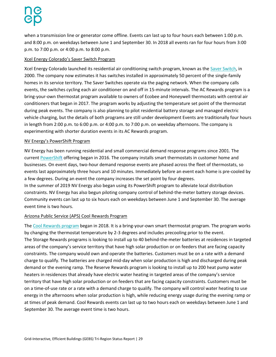when a transmission line or generator come offline. Events can last up to four hours each between 1:00 p.m. and 8:00 p.m. on weekdays between June 1 and September 30. In 2018 all events ran for four hours from 3:00 p.m. to 7:00 p.m. or 4:00 p.m. to 8:00 p.m.

#### Xcel Energy Colorado's Saver Switch Program

Xcel Energy Colorado launched its residential air conditioning switch program, known as the [Saver Switch,](https://www.xcelenergy.com/programs_and_rebates/residential_programs_and_rebates/heating_and_cooling) in 2000. The company now estimates it has switches installed in approximately 50 percent of the single-family homes in its service territory. The Saver Switches operate via the paging network. When the company calls events, the switches cycling each air conditioner on and off in 15-minute intervals. The AC Rewards program is a bring-your-own thermostat program available to owners of Ecobee and Honeywell thermostats with central air conditioners that began in 2017. The program works by adjusting the temperature set point of the thermostat during peak events. The company is also planning to pilot residential battery storage and managed electric vehicle charging, but the details of both programs are still under development Events are traditionally four hours in length from 2:00 p.m. to 6:00 p.m. or 4:00 p.m. to 7:00 p.m. on weekday afternoons. The company is experimenting with shorter duration events in its AC Rewards program.

#### NV Energy's PowerShift Program

NV Energy has been running residential and small commercial demand response programs since 2001. The curren[t PowerShift](https://www.nvenergy.com/save-with-powershift/smart-thermostat) offering began in 2016. The company installs smart thermostats in customer home and businesses. On event days, two-hour demand response events are phased across the fleet of thermostats, so events last approximately three hours and 10 minutes. Immediately before an event each home is pre-cooled by a few degrees. During an event the company increases the set point by four degrees.

In the summer of 2019 NV Energy also began using its PowerShift program to alleviate local distribution constraints. NV Energy has also begun piloting company control of behind-the-meter battery storage devices. Community events can last up to six hours each on weekdays between June 1 and September 30. The average event time is two hours.

### Arizona Public Service (APS) Cool Rewards Program

The [Cool Rewards program](https://www.aps.com/en/residential/renewableenergy/typesofsolar/Pages/coolrewards.aspx) began in 2018. It is a bring-your-own smart thermostat program. The program works by changing the thermostat temperature by 2-3 degrees and includes precooling prior to the event. The Storage Rewards programs is looking to install up to 40 behind-the-meter batteries at residences in targeted areas of the company's service territory that have high solar production or on feeders that are facing capacity constraints. The company would own and operate the batteries. Customers must be on a rate with a demand charge to qualify. The batteries are charged mid-day when solar production is high and discharged during peak demand or the evening ramp. The Reserve Rewards program is looking to install up to 200 heat pump water heaters in residences that already have electric water heating in targeted areas of the company's service territory that have high solar production or on feeders that are facing capacity constraints. Customers must be on a time-of-use rate or a rate with a demand charge to qualify. The company will control water heating to use energy in the afternoons when solar production is high, while reducing energy usage during the evening ramp or at times of peak demand. Cool Rewards events can last up to two hours each on weekdays between June 1 and September 30. The average event time is two hours.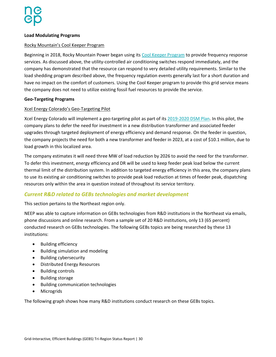#### **Load Modulating Programs**

#### Rocky Mountain's Cool Keeper Program

Beginning in 2018, Rocky Mountain Power began using it[s Cool Keeper Program](https://www.rockymountainpower.net/savings-energy-choices/home/cool-keeper.html) to provide frequency response services. As discussed above, the utility-controlled air conditioning switches respond immediately, and the company has demonstrated that the resource can respond to very detailed utility requirements. Similar to the load shedding program described above, the frequency regulation events generally last for a short duration and have no impact on the comfort of customers. Using the Cool Keeper program to provide this grid service means the company does not need to utilize existing fossil fuel resources to provide the service.

#### **Geo-Targeting Programs**

#### Xcel Energy Colorado's Geo-Targeting Pilot

Xcel Energy Colorado will implement a geo-targeting pilot as part of it[s 2019-2020 DSM Plan.](https://www.xcelenergy.com/staticfiles/xe-responsive/Company/Rates%20&%20Regulations/Regulatory%20Filings/DSM-Plan.pdf) In this pilot, the company plans to defer the need for investment in a new distribution transformer and associated feeder upgrades through targeted deployment of energy efficiency and demand response. On the feeder in question, the company projects the need for both a new transformer and feeder in 2023, at a cost of \$10.1 million, due to load growth in this localized area.

The company estimates it will need three MW of load reduction by 2026 to avoid the need for the transformer. To defer this investment, energy efficiency and DR will be used to keep feeder peak load below the current thermal limit of the distribution system. In addition to targeted energy efficiency in this area, the company plans to use its existing air conditioning switches to provide peak load reduction at times of feeder peak, dispatching resources only within the area in question instead of throughout its service territory.

#### <span id="page-29-0"></span>*Current R&D related to GEBs technologies and market development*

This section pertains to the Northeast region only.

NEEP was able to capture information on GEBs technologies from R&D institutions in the Northeast via emails, phone discussions and online research. From a sample set of 20 R&D institutions, only 13 (65 percent) conducted research on GEBs technologies. The following GEBs topics are being researched by these 13 institutions:

- Building efficiency
- Building simulation and modeling
- Building cybersecurity
- Distributed Energy Resources
- Building controls
- Building storage
- Building communication technologies
- Microgrids

The following graph shows how many R&D institutions conduct research on these GEBs topics.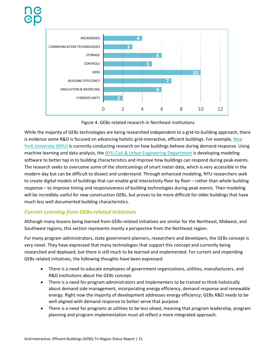

Figure 4: GEBs-related research in Northeast institutions

While the majority of GEBs technologies are being researched independent to a grid-to-building approach, there is evidence some R&D is focused on advancing holistic grid-interactive, efficient buildings. For example, New [York University \(NYU\)](https://www.nyu.edu/) is currently conducting research on how buildings behave during demand response. Using machine learning and data analysis, the [NYU Civil & Urban Engineering Department](https://engineering.nyu.edu/academics/departments/civil-and-urban-engineering) is developing modeling software to better tap in to building characteristics and improve how buildings can respond during peak events. The research seeks to overcome some of the shortcomings of smart meter data, which is very accessible in the modern day but can be difficult to dissect and understand. Through enhanced modeling, NYU researchers seek to create digital models of buildings that can enable grid interactivity floor by floor – rather than whole building response – to improve timing and responsiveness of building technologies during peak events. Their modeling will be incredibly useful for new construction GEBs, but proves to be more difficult for older buildings that have much less well documented building characteristics.

### <span id="page-30-0"></span>*Current Learning from GEBs-related Initiatives*

Although many lessons being learned from GEBs-related initiatives are similar for the Northeast, Midwest, and Southwest regions, this section represents mostly a perspective from the Northeast region.

For many program administrators, state government planners, researchers and developers, the GEBs concept is very novel. They have expressed that many technologies that support this concept and currently being researched and deployed, but there is still much to be learned and implemented. For current and impending GEBs related initiatives, the following thoughts have been expressed:

- There is a need to educate employees of government organizations, utilities, manufacturers, and R&D institutions about the GEBs concept.
- There is a need for program administrators and implementers to be trained to think holistically about demand side management, incorporating energy efficiency, demand response and renewable energy. Right now the majority of development addresses energy efficiency; GEBs R&D needs to be well aligned with demand response to better serve that purpose.
- There is a need for programs at utilities to be less siloed, meaning that program leadership, program planning and program implementation must all reflect a more integrated approach.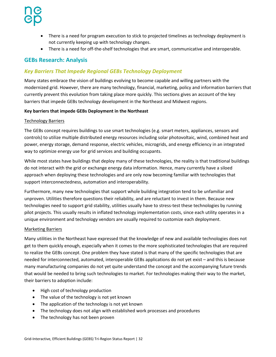- There is a need for program execution to stick to projected timelines as technology deployment is not currently keeping up with technology changes.
- There is a need for off-the-shelf technologies that are smart, communicative and interoperable.

### <span id="page-31-0"></span>**GEBs Research: Analysis**

### <span id="page-31-1"></span>*Key Barriers That Impede Regional GEBs Technology Deployment*

Many states embrace the vision of buildings evolving to become capable and willing partners with the modernized grid. However, there are many technology, financial, marketing, policy and information barriers that currently prevent this evolution from taking place more quickly. This sections gives an account of the key barriers that impede GEBs technology development in the Northeast and Midwest regions.

#### **Key barriers that impede GEBs Deployment in the Northeast**

#### Technology Barriers

The GEBs concept requires buildings to use smart technologies (e.g. smart meters, appliances, sensors and controls) to utilize multiple distributed energy resources including solar photovoltaic, wind, combined heat and power, energy storage, demand response, electric vehicles, microgrids, and energy efficiency in an integrated way to optimize energy use for grid services and building occupants.

While most states have buildings that deploy many of these technologies, the reality is that traditional buildings do not interact with the grid or exchange energy data information. Hence, many currently have a siloed approach when deploying these technologies and are only now becoming familiar with technologies that support interconnectedness, automation and interoperability.

Furthermore, many new technologies that support whole building integration tend to be unfamiliar and unproven. Utilities therefore questions their reliability, and are reluctant to invest in them. Because new technologies need to support grid stability, utilities usually have to stress-test these technologies by running pilot projects. This usually results in inflated technology implementation costs, since each utility operates in a unique environment and technology vendors are usually required to customize each deployment.

#### Marketing Barriers

Many utilities in the Northeast have expressed that the knowledge of new and available technologies does not get to them quickly enough, especially when it comes to the more sophisticated technologies that are required to realize the GEBs concept. One problem they have stated is that many of the specific technologies that are needed for interconnected, automated, interoperable GEBs applications do not yet exist – and this is because many manufacturing companies do not yet quite understand the concept and the accompanying future trends that would be needed to bring such technologies to market. For technologies making their way to the market, their barriers to adoption include:

- High cost of technology production
- The value of the technology is not yet known
- The application of the technology is not yet known
- The technology does not align with established work processes and procedures
- The technology has not been proven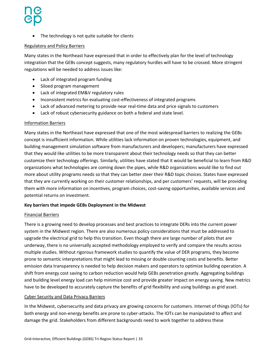• The technology is not quite suitable for clients

#### Regulatory and Policy Barriers

Many states in the Northeast have expressed that in order to effectively plan for the level of technology integration that the GEBs concept suggests, many regulatory hurdles will have to be crossed. More stringent regulations will be needed to address issues like:

- Lack of integrated program funding
- Siloed program management
- Lack of integrated EM&V regulatory rules
- Inconsistent metrics for evaluating cost-effectiveness of integrated programs
- Lack of advanced metering to provide near real-time data and price signals to customers
- Lack of robust cybersecurity guidance on both a federal and state level.

#### Information Barriers

Many states in the Northeast have expressed that one of the most widespread barriers to realizing the GEBs concept is insufficient information. While utilities lack information on proven technologies, equipment, and building management simulation software from manufacturers and developers; manufacturers have expressed that they would like utilities to be more transparent about their technology needs so that they can better customize their technology offerings. Similarly, utilities have stated that it would be beneficial to learn from R&D organizations what technologies are coming down the pipes, while R&D organizations would like to find out more about utility programs needs so that they can better steer their R&D topic choices. States have expressed that they are currently working on their customer relationships, and per customers' requests, will be providing them with more information on incentives, program choices, cost-saving opportunities, available services and potential returns on investment.

#### **Key barriers that impede GEBs Deployment in the Midwest**

#### Financial Barriers

There is a growing need to develop processes and best practices to integrate DERs into the current power system in the Midwest region. There are also numerous policy considerations that must be addressed to upgrade the electrical grid to help this transition. Even though there are large number of pilots that are underway, there is no universally accepted methodology employed to verify and compare the results across multiple studies. Without rigorous framework studies to quantify the value of DER programs, they become prone to semantic interpretations that might lead to missing or double counting costs and benefits. Better emission data transparency is needed to help decision makers and operators to optimize building operation. A shift from energy cost saving to carbon reduction would help GEBs penetration greatly. Aggregating buildings and building level energy load can help minimize cost and provide greater impact on energy saving. New metrics have to be developed to accurately capture the benefits of grid flexibility and using buildings as grid asset.

#### Cyber Security and Data Privacy Barriers

In the Midwest, cybersecurity and data privacy are growing concerns for customers. Internet of things (IOTs) for both energy and non-energy benefits are prone to cyber-attacks. The IOTs can be manipulated to affect and damage the grid. Stakeholders from different backgrounds need to work together to address these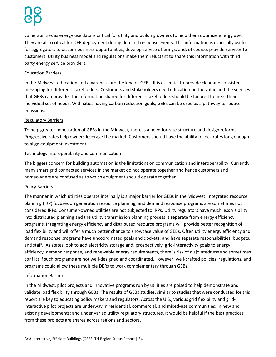vulnerabilities as energy use data is critical for utility and building owners to help them optimize energy use. They are also critical for DER deployment during demand response events. This information is especially useful for aggregators to discern business opportunities, develop service offerings, and, of course, provide services to customers. Utility business model and regulations make them reluctant to share this information with third party energy service providers.

#### Education Barriers

In the Midwest, education and awareness are the key for GEBs. It is essential to provide clear and consistent messaging for different stakeholders. Customers and stakeholders need education on the value and the services that GEBs can provide. The information shared for different stakeholders should be tailored to meet their individual set of needs. With cities having carbon reduction goals, GEBs can be used as a pathway to reduce emissions.

#### Regulatory Barriers

To help greater penetration of GEBs in the Midwest, there is a need for rate structure and design reforms. Progressive rates help owners leverage the market. Customers should have the ability to lock rates long enough to align equipment investment.

#### Technology interoperability and communication

The biggest concern for building automation is the limitations on communication and interoperability. Currently many smart grid connected services in the market do not operate together and hence customers and homeowners are confused as to which equipment should operate together.

#### Policy Barriers

The manner in which utilities operate internally is a major barrier for GEBs in the Midwest. Integrated resource planning (IRP) focuses on generation resource planning, and demand response programs are sometimes not considered IRPs. Consumer-owned utilities are not subjected to IRPs. Utility regulators have much less visibility into distributed planning and the utility transmission planning process is separate from energy efficiency programs. Integrating energy efficiency and distributed resource programs will provide better recognition of load flexibility and will offer a much better chance to showcase value of GEBs. Often utility energy efficiency and demand response programs have uncoordinated goals and dockets; and have separate responsibilities, budgets, and staff. As states look to add electricity storage and, prospectively, grid-interactivity goals to energy efficiency, demand response, and renewable energy requirements, there is risk of disjointedness and sometimes conflict if such programs are not well-designed and coordinated. However, well-crafted policies, regulations, and programs could allow these multiple DERs to work complementary through GEBs.

#### Information Barriers

In the Midwest, pilot projects and innovative programs run by utilities are poised to help demonstrate and validate load flexibility through GEBs. The results of GEBs studies, similar to studies that were conducted for this report are key to educating policy makers and regulators. Across the U.S., various grid flexibility and gridinteractive pilot projects are underway in residential, commercial, and mixed-use communities; in new and existing developments; and under varied utility regulatory structures. It would be helpful if the best practices from these projects are shares across regions and sectors.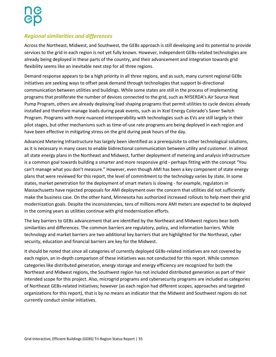### <span id="page-34-0"></span>*Regional similarities and differences*

Across the Northeast, Midwest, and Southwest, the GEBs approach is still developing and its potential to provide services to the grid in each region is not yet fully known. However, independent GEBs-related technologies are already being deployed in these parts of the country, and their advancement and integration towards grid flexibility seems like an inevitable next step for all three regions.

Demand response appears to be a high priority in all three regions, and as such, many current regional GEBs initiatives are seeking ways to offset peak demand through technologies that support bi-directional communication between utilities and buildings. While some states are still in the process of implementing programs that proliferate the number of devices connected to the grid, such as NYSERDA's Air Source Heat Pump Program, others are already deploying load shaping programs that permit utilities to cycle devices already installed and therefore manage loads during peak events, such as in Xcel Energy Colorado's Saver Switch Program. Programs with more nuanced interoperability with technologies such as EVs are still largely in their pilot stages, but other mechanisms such as time-of-use rate programs are being deployed in each region and have been effective in mitigating stress on the grid during peak hours of the day.

Advanced Metering Infrastructure has largely been identified as a prerequisite to other technological solutions, as it is necessary in many cases to enable bidirectional communication between utility and customer. In almost all state energy plans in the Northeast and Midwest, further deployment of metering and analysis infrastructure is a common goal towards building a smarter and more responsive grid - perhaps fitting with the concept "You can't manage what you don't measure." However, even though AMI has been a key component of state energy plans that were reviewed for this report, the level of commitment to the technology varies by state. In some states, market penetration for the deployment of smart meters is slowing - for example, regulators in Massachusetts have rejected proposals for AMI deployment over the concern that utilities did not sufficiently make the business case. On the other hand, Minnesota has authorized increased rollouts to help meet their grid modernization goals. Despite the inconsistencies, tens of millions more AMI meters are expected to be deployed in the coming years as utilities continue with grid modernization efforts.

The key barriers to GEBs advancement that are identified by the Northeast and Midwest regions bear both similarities and differences. The common barriers are regulatory, policy, and information barriers. While technology and market barriers are two additional key barriers that are highlighted for the Northeast, cyber security, education and financial barriers are key for the Midwest.

<span id="page-34-1"></span>It should be noted that since all categories of currently deployed GEBs-related initiatives are not covered by each region, an in-depth comparison of these initiatives was not conducted for this report. While common categories like distributed generation, energy storage and energy efficiency are recognized for both the Northeast and Midwest regions, the Southwest region has not included distributed generation as part of their intended scope for this project. Also, microgrid programs and cybersecurity programs are included as categories of Northeast GEBs-related initiatives; however (as each region had different scopes, approaches and targeted organizations for this report), that is by no means an indicator that the Midwest and Southwest regions do not currently conduct similar initiatives.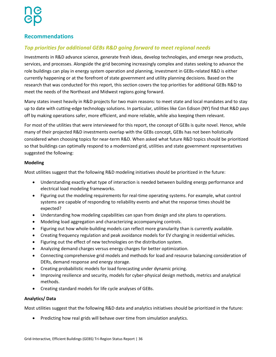### **Recommendations**

### <span id="page-35-0"></span>*Top priorities for additional GEBs R&D going forward to meet regional needs*

Investments in R&D advance science, generate fresh ideas, develop technologies, and emerge new products, services, and processes. Alongside the grid becoming increasingly complex and states seeking to advance the role buildings can play in energy system operation and planning, investment in GEBs-related R&D is either currently happening or at the forefront of state government and utility planning decisions. Based on the research that was conducted for this report, this section covers the top priorities for additional GEBs R&D to meet the needs of the Northeast and Midwest regions going forward.

Many states invest heavily in R&D projects for two main reasons: to meet state and local mandates and to stay up to date with cutting-edge technology solutions. In particular, utilities like Con Edison (NY) find that R&D pays off by making operations safer, more efficient, and more reliable, while also keeping them relevant.

For most of the utilities that were interviewed for this report, the concept of GEBs is quite novel. Hence, while many of their projected R&D investments overlap with the GEBs concept, GEBs has not been holistically considered when choosing topics for near-term R&D. When asked what future R&D topics should be prioritized so that buildings can optimally respond to a modernized grid, utilities and state government representatives suggested the following:

#### **Modeling**

Most utilities suggest that the following R&D modeling initiatives should be prioritized in the future:

- Understanding exactly what type of interaction is needed between building energy performance and electrical load modeling frameworks.
- Figuring out the modeling requirements for real-time operating systems. For example, what control systems are capable of responding to reliability events and what the response times should be expected?
- Understanding how modeling capabilities can span from design and site plans to operations.
- Modeling load aggregation and characterizing accompanying controls.
- Figuring out how whole-building models can reflect more granularity than is currently available.
- Creating frequency regulation and peak avoidance models for EV charging in residential vehicles.
- Figuring out the effect of new technologies on the distribution system.
- Analyzing demand charges versus energy charges for better optimization.
- Connecting comprehensive grid models and methods for load and resource balancing consideration of DERs, demand response and energy storage.
- Creating probabilistic models for load forecasting under dynamic pricing.
- Improving resilience and security, models for cyber-physical design methods, metrics and analytical methods.
- Creating standard models for life cycle analyses of GEBs.

#### **Analytics/ Data**

Most utilities suggest that the following R&D data and analytics initiatives should be prioritized in the future:

• Predicting how real grids will behave over time from simulation analytics.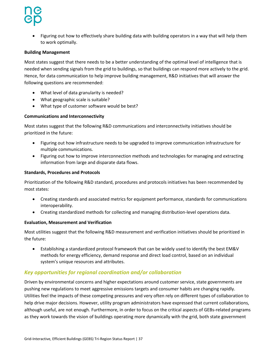Figuring out how to effectively share building data with building operators in a way that will help them to work optimally.

#### **Building Management**

Most states suggest that there needs to be a better understanding of the optimal level of intelligence that is needed when sending signals from the grid to buildings, so that buildings can respond more actively to the grid. Hence, for data communication to help improve building management, R&D initiatives that will answer the following questions are recommended:

- What level of data granularity is needed?
- What geographic scale is suitable?
- What type of customer software would be best?

#### **Communications and Interconnectivity**

Most states suggest that the following R&D communications and interconnectivity initiatives should be prioritized in the future:

- Figuring out how infrastructure needs to be upgraded to improve communication infrastructure for multiple communications.
- Figuring out how to improve interconnection methods and technologies for managing and extracting information from large and disparate data flows.

#### **Standards, Procedures and Protocols**

Prioritization of the following R&D standard, procedures and protocols initiatives has been recommended by most states:

- Creating standards and associated metrics for equipment performance, standards for communications interoperability.
- Creating standardized methods for collecting and managing distribution-level operations data.

#### **Evaluation, Measurement and Verification**

Most utilities suggest that the following R&D measurement and verification initiatives should be prioritized in the future:

 Establishing a standardized protocol framework that can be widely used to identify the best EM&V methods for energy efficiency, demand response and direct load control, based on an individual system's unique resources and attributes.

### <span id="page-36-0"></span>*Key opportunities for regional coordination and/or collaboration*

Driven by environmental concerns and higher expectations around customer service, state governments are pushing new regulations to meet aggressive emissions targets and consumer habits are changing rapidly. Utilities feel the impacts of these competing pressures and very often rely on different types of collaboration to help drive major decisions. However, utility program administrators have expressed that current collaborations, although useful, are not enough. Furthermore, in order to focus on the critical aspects of GEBs-related programs as they work towards the vision of buildings operating more dynamically with the grid, both state government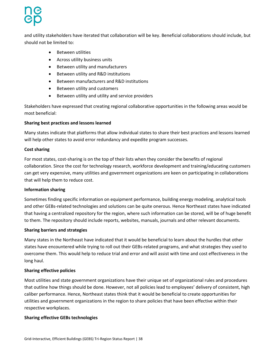and utility stakeholders have iterated that collaboration will be key. Beneficial collaborations should include, but should not be limited to:

- Between utilities
- Across utility business units
- Between utility and manufacturers
- **•** Between utility and R&D institutions
- Between manufacturers and R&D institutions
- Between utility and customers
- Between utility and utility and service providers

Stakeholders have expressed that creating regional collaborative opportunities in the following areas would be most beneficial:

#### **Sharing best practices and lessons learned**

Many states indicate that platforms that allow individual states to share their best practices and lessons learned will help other states to avoid error redundancy and expedite program successes.

#### **Cost sharing**

For most states, cost-sharing is on the top of their lists when they consider the benefits of regional collaboration. Since the cost for technology research, workforce development and training/educating customers can get very expensive, many utilities and government organizations are keen on participating in collaborations that will help them to reduce cost.

#### **Information sharing**

Sometimes finding specific information on equipment performance, building energy modeling, analytical tools and other GEBs-related technologies and solutions can be quite onerous. Hence Northeast states have indicated that having a centralized repository for the region, where such information can be stored, will be of huge benefit to them. The repository should include reports, websites, manuals, journals and other relevant documents.

#### **Sharing barriers and strategies**

Many states in the Northeast have indicated that it would be beneficial to learn about the hurdles that other states have encountered while trying to roll out their GEBs-related programs, and what strategies they used to overcome them. This would help to reduce trial and error and will assist with time and cost effectiveness in the long haul.

#### **Sharing effective policies**

Most utilities and state government organizations have their unique set of organizational rules and procedures that outline how things should be done. However, not all policies lead to employees' delivery of consistent, high caliber performance. Hence, Northeast states think that it would be beneficial to create opportunities for utilities and government organizations in the region to share policies that have been effective within their respective workplaces.

#### **Sharing effective GEBs technologies**